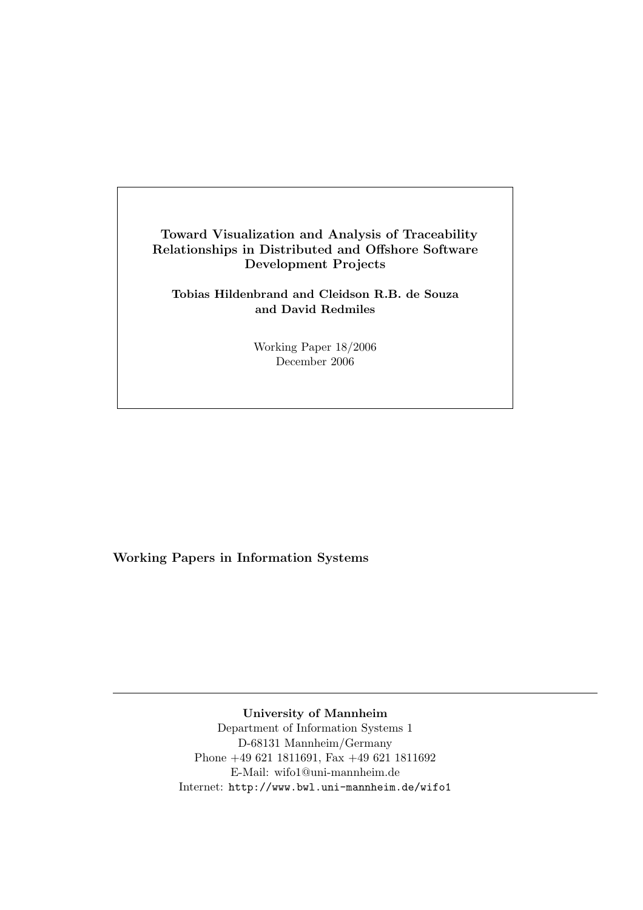# Toward Visualization and Analysis of Traceability Relationships in Distributed and Offshore Software Development Projects

Tobias Hildenbrand and Cleidson R.B. de Souza and David Redmiles

> Working Paper 18/2006 December 2006

Working Papers in Information Systems

University of Mannheim Department of Information Systems 1 D-68131 Mannheim/Germany Phone +49 621 1811691, Fax +49 621 1811692 E-Mail: wifo1@uni-mannheim.de Internet: http://www.bwl.uni-mannheim.de/wifo1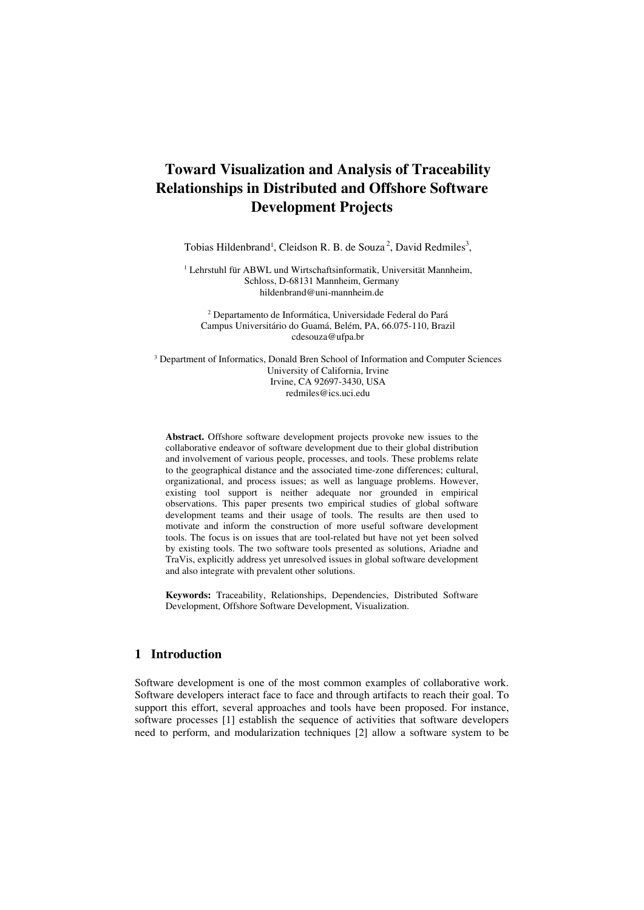# **Toward Visualization and Analysis of Traceability Relationships in Distributed and Offshore Software Development Projects**

Tobias Hildenbrand<sup>1</sup>, Cleidson R. B. de Souza<sup>2</sup>, David Redmiles<sup>3</sup>,

<sup>1</sup> Lehrstuhl für ABWL und Wirtschaftsinformatik, Universität Mannheim, Schloss, D-68131 Mannheim, Germany hildenbrand@uni-mannheim.de

2 Departamento de Informática, Universidade Federal do Pará Campus Universitário do Guamá, Belém, PA, 66.075-110, Brazil cdesouza@ufpa.br

<sup>3</sup> Department of Informatics, Donald Bren School of Information and Computer Sciences University of California, Irvine Irvine, CA 92697-3430, USA redmiles@ics.uci.edu

**Abstract.** Offshore software development projects provoke new issues to the collaborative endeavor of software development due to their global distribution and involvement of various people, processes, and tools. These problems relate to the geographical distance and the associated time-zone differences; cultural, organizational, and process issues; as well as language problems. However, existing tool support is neither adequate nor grounded in empirical observations. This paper presents two empirical studies of global software development teams and their usage of tools. The results are then used to motivate and inform the construction of more useful software development tools. The focus is on issues that are tool-related but have not yet been solved by existing tools. The two software tools presented as solutions, Ariadne and TraVis, explicitly address yet unresolved issues in global software development and also integrate with prevalent other solutions.

**Keywords:** Traceability, Relationships, Dependencies, Distributed Software Development, Offshore Software Development, Visualization.

# **1 Introduction**

Software development is one of the most common examples of collaborative work. Software developers interact face to face and through artifacts to reach their goal. To support this effort, several approaches and tools have been proposed. For instance, software processes [1] establish the sequence of activities that software developers need to perform, and modularization techniques [2] allow a software system to be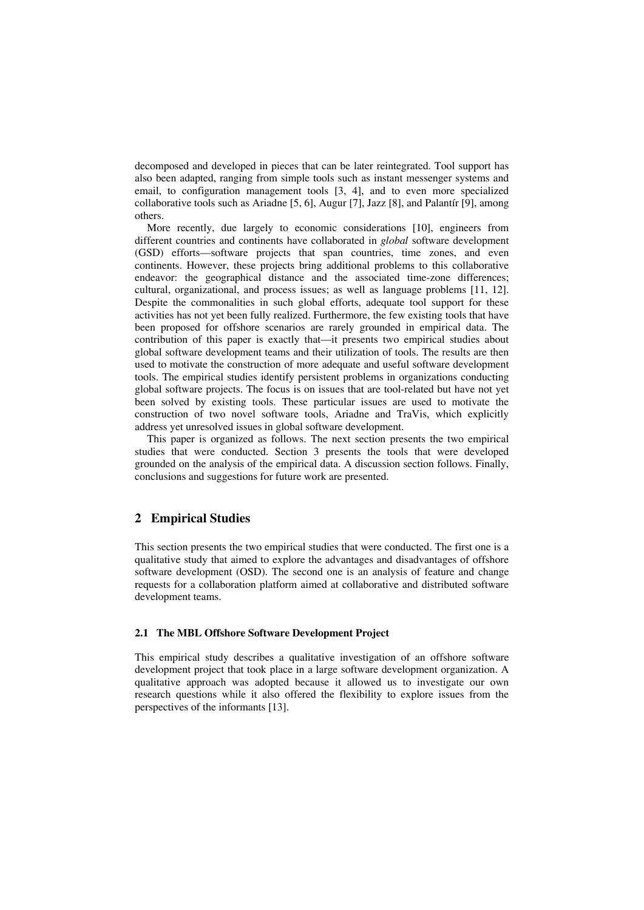decomposed and developed in pieces that can be later reintegrated. Tool support has also been adapted, ranging from simple tools such as instant messenger systems and email, to configuration management tools [3, 4], and to even more specialized collaborative tools such as Ariadne [5, 6], Augur [7], Jazz [8], and Palantír [9], among others.

More recently, due largely to economic considerations [10], engineers from different countries and continents have collaborated in *global* software development (GSD) efforts—software projects that span countries, time zones, and even continents. However, these projects bring additional problems to this collaborative endeavor: the geographical distance and the associated time-zone differences; cultural, organizational, and process issues; as well as language problems [11, 12]. Despite the commonalities in such global efforts, adequate tool support for these activities has not yet been fully realized. Furthermore, the few existing tools that have been proposed for offshore scenarios are rarely grounded in empirical data. The contribution of this paper is exactly that—it presents two empirical studies about global software development teams and their utilization of tools. The results are then used to motivate the construction of more adequate and useful software development tools. The empirical studies identify persistent problems in organizations conducting global software projects. The focus is on issues that are tool-related but have not yet been solved by existing tools. These particular issues are used to motivate the construction of two novel software tools, Ariadne and TraVis, which explicitly address yet unresolved issues in global software development.

This paper is organized as follows. The next section presents the two empirical studies that were conducted. Section 3 presents the tools that were developed grounded on the analysis of the empirical data. A discussion section follows. Finally, conclusions and suggestions for future work are presented.

# **2 Empirical Studies**

This section presents the two empirical studies that were conducted. The first one is a qualitative study that aimed to explore the advantages and disadvantages of offshore software development (OSD). The second one is an analysis of feature and change requests for a collaboration platform aimed at collaborative and distributed software development teams.

#### **2.1 The MBL Offshore Software Development Project**

This empirical study describes a qualitative investigation of an offshore software development project that took place in a large software development organization. A qualitative approach was adopted because it allowed us to investigate our own research questions while it also offered the flexibility to explore issues from the perspectives of the informants [13].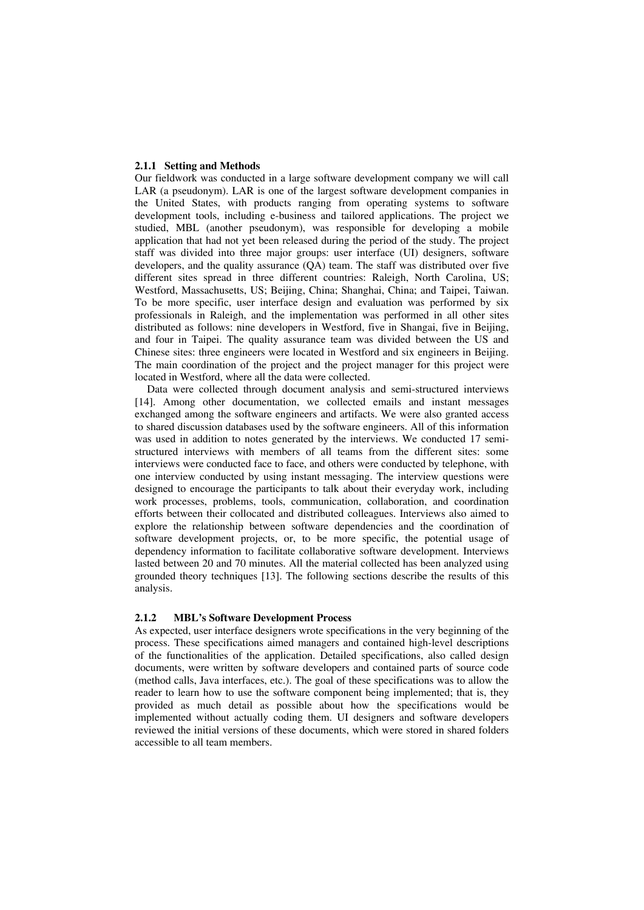## **2.1.1 Setting and Methods**

Our fieldwork was conducted in a large software development company we will call LAR (a pseudonym). LAR is one of the largest software development companies in the United States, with products ranging from operating systems to software development tools, including e-business and tailored applications. The project we studied, MBL (another pseudonym), was responsible for developing a mobile application that had not yet been released during the period of the study. The project staff was divided into three major groups: user interface (UI) designers, software developers, and the quality assurance (QA) team. The staff was distributed over five different sites spread in three different countries: Raleigh, North Carolina, US; Westford, Massachusetts, US; Beijing, China; Shanghai, China; and Taipei, Taiwan. To be more specific, user interface design and evaluation was performed by six professionals in Raleigh, and the implementation was performed in all other sites distributed as follows: nine developers in Westford, five in Shangai, five in Beijing, and four in Taipei. The quality assurance team was divided between the US and Chinese sites: three engineers were located in Westford and six engineers in Beijing. The main coordination of the project and the project manager for this project were located in Westford, where all the data were collected.

Data were collected through document analysis and semi-structured interviews [14]. Among other documentation, we collected emails and instant messages exchanged among the software engineers and artifacts. We were also granted access to shared discussion databases used by the software engineers. All of this information was used in addition to notes generated by the interviews. We conducted 17 semistructured interviews with members of all teams from the different sites: some interviews were conducted face to face, and others were conducted by telephone, with one interview conducted by using instant messaging. The interview questions were designed to encourage the participants to talk about their everyday work, including work processes, problems, tools, communication, collaboration, and coordination efforts between their collocated and distributed colleagues. Interviews also aimed to explore the relationship between software dependencies and the coordination of software development projects, or, to be more specific, the potential usage of dependency information to facilitate collaborative software development. Interviews lasted between 20 and 70 minutes. All the material collected has been analyzed using grounded theory techniques [13]. The following sections describe the results of this analysis.

## **2.1.2 MBL's Software Development Process**

As expected, user interface designers wrote specifications in the very beginning of the process. These specifications aimed managers and contained high-level descriptions of the functionalities of the application. Detailed specifications, also called design documents, were written by software developers and contained parts of source code (method calls, Java interfaces, etc.). The goal of these specifications was to allow the reader to learn how to use the software component being implemented; that is, they provided as much detail as possible about how the specifications would be implemented without actually coding them. UI designers and software developers reviewed the initial versions of these documents, which were stored in shared folders accessible to all team members.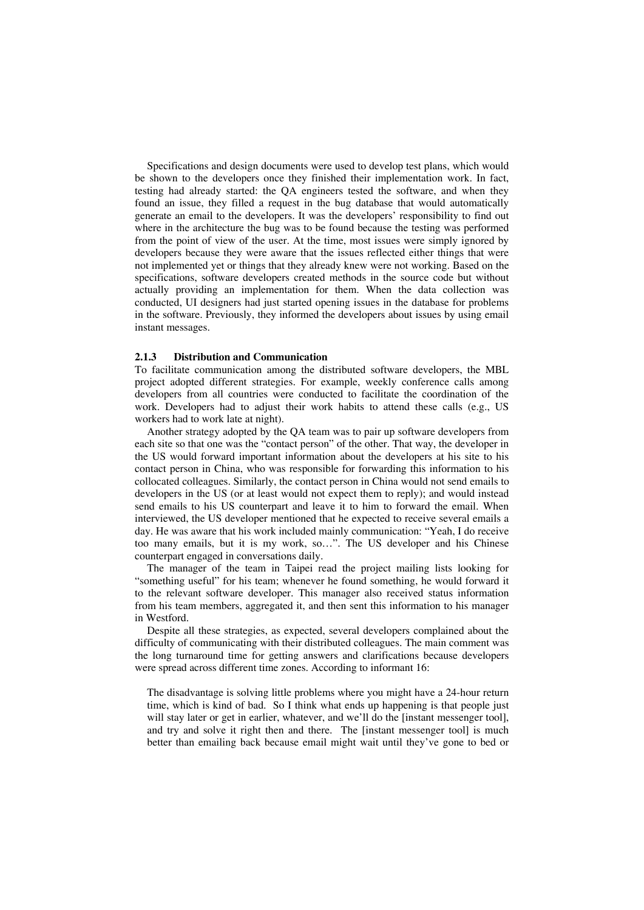Specifications and design documents were used to develop test plans, which would be shown to the developers once they finished their implementation work. In fact, testing had already started: the QA engineers tested the software, and when they found an issue, they filled a request in the bug database that would automatically generate an email to the developers. It was the developers' responsibility to find out where in the architecture the bug was to be found because the testing was performed from the point of view of the user. At the time, most issues were simply ignored by developers because they were aware that the issues reflected either things that were not implemented yet or things that they already knew were not working. Based on the specifications, software developers created methods in the source code but without actually providing an implementation for them. When the data collection was conducted, UI designers had just started opening issues in the database for problems in the software. Previously, they informed the developers about issues by using email instant messages.

#### **2.1.3 Distribution and Communication**

To facilitate communication among the distributed software developers, the MBL project adopted different strategies. For example, weekly conference calls among developers from all countries were conducted to facilitate the coordination of the work. Developers had to adjust their work habits to attend these calls (e.g., US workers had to work late at night).

Another strategy adopted by the QA team was to pair up software developers from each site so that one was the "contact person" of the other. That way, the developer in the US would forward important information about the developers at his site to his contact person in China, who was responsible for forwarding this information to his collocated colleagues. Similarly, the contact person in China would not send emails to developers in the US (or at least would not expect them to reply); and would instead send emails to his US counterpart and leave it to him to forward the email. When interviewed, the US developer mentioned that he expected to receive several emails a day. He was aware that his work included mainly communication: "Yeah, I do receive too many emails, but it is my work, so…". The US developer and his Chinese counterpart engaged in conversations daily.

The manager of the team in Taipei read the project mailing lists looking for "something useful" for his team; whenever he found something, he would forward it to the relevant software developer. This manager also received status information from his team members, aggregated it, and then sent this information to his manager in Westford.

Despite all these strategies, as expected, several developers complained about the difficulty of communicating with their distributed colleagues. The main comment was the long turnaround time for getting answers and clarifications because developers were spread across different time zones. According to informant 16:

The disadvantage is solving little problems where you might have a 24-hour return time, which is kind of bad. So I think what ends up happening is that people just will stay later or get in earlier, whatever, and we'll do the [instant messenger tool], and try and solve it right then and there. The [instant messenger tool] is much better than emailing back because email might wait until they've gone to bed or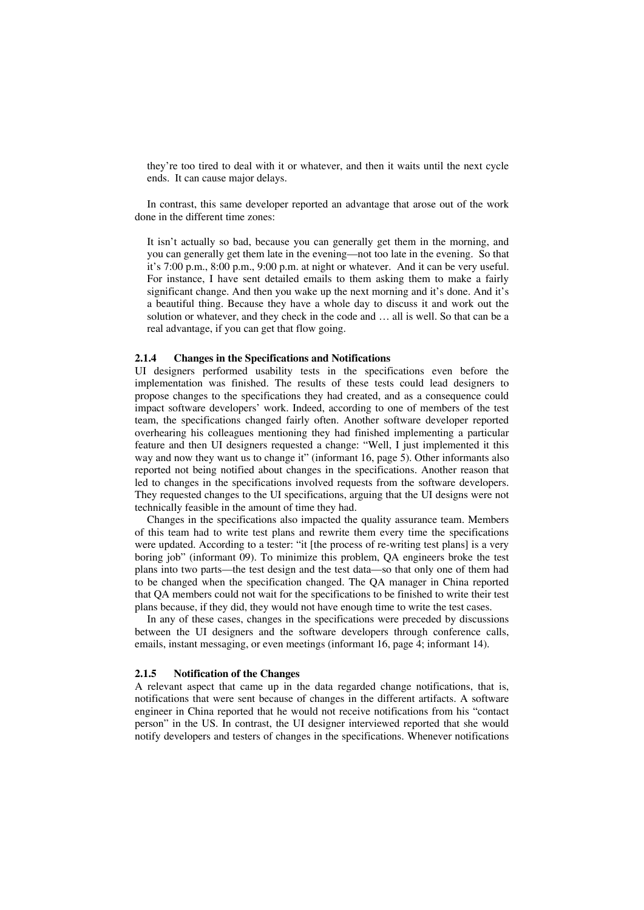they're too tired to deal with it or whatever, and then it waits until the next cycle ends. It can cause major delays.

In contrast, this same developer reported an advantage that arose out of the work done in the different time zones:

It isn't actually so bad, because you can generally get them in the morning, and you can generally get them late in the evening—not too late in the evening. So that it's 7:00 p.m., 8:00 p.m., 9:00 p.m. at night or whatever. And it can be very useful. For instance, I have sent detailed emails to them asking them to make a fairly significant change. And then you wake up the next morning and it's done. And it's a beautiful thing. Because they have a whole day to discuss it and work out the solution or whatever, and they check in the code and … all is well. So that can be a real advantage, if you can get that flow going.

#### **2.1.4 Changes in the Specifications and Notifications**

UI designers performed usability tests in the specifications even before the implementation was finished. The results of these tests could lead designers to propose changes to the specifications they had created, and as a consequence could impact software developers' work. Indeed, according to one of members of the test team, the specifications changed fairly often. Another software developer reported overhearing his colleagues mentioning they had finished implementing a particular feature and then UI designers requested a change: "Well, I just implemented it this way and now they want us to change it" (informant 16, page 5). Other informants also reported not being notified about changes in the specifications. Another reason that led to changes in the specifications involved requests from the software developers. They requested changes to the UI specifications, arguing that the UI designs were not technically feasible in the amount of time they had.

Changes in the specifications also impacted the quality assurance team. Members of this team had to write test plans and rewrite them every time the specifications were updated. According to a tester: "it [the process of re-writing test plans] is a very boring job" (informant 09). To minimize this problem, QA engineers broke the test plans into two parts—the test design and the test data—so that only one of them had to be changed when the specification changed. The QA manager in China reported that QA members could not wait for the specifications to be finished to write their test plans because, if they did, they would not have enough time to write the test cases.

In any of these cases, changes in the specifications were preceded by discussions between the UI designers and the software developers through conference calls, emails, instant messaging, or even meetings (informant 16, page 4; informant 14).

#### **2.1.5 Notification of the Changes**

A relevant aspect that came up in the data regarded change notifications, that is, notifications that were sent because of changes in the different artifacts. A software engineer in China reported that he would not receive notifications from his "contact person" in the US. In contrast, the UI designer interviewed reported that she would notify developers and testers of changes in the specifications. Whenever notifications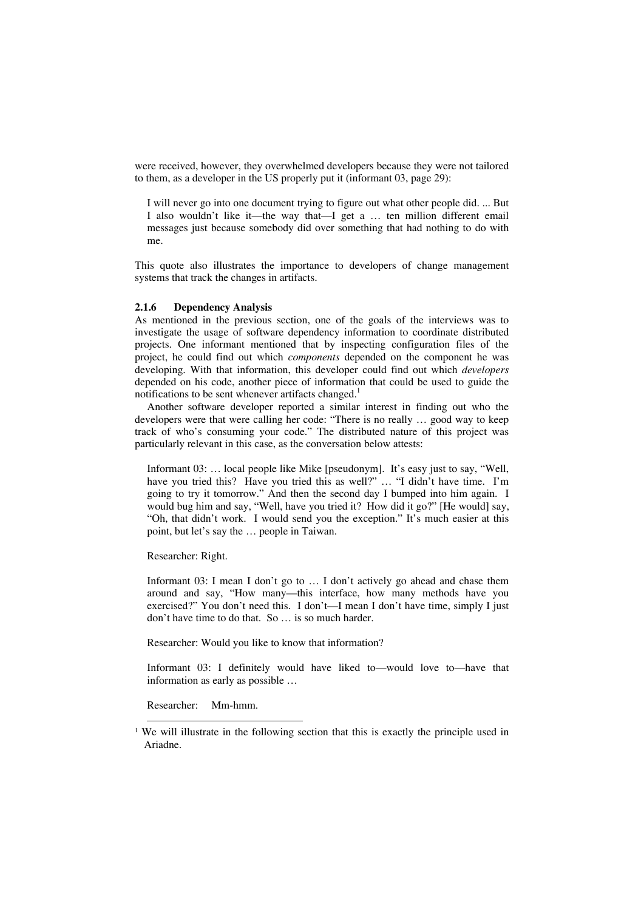were received, however, they overwhelmed developers because they were not tailored to them, as a developer in the US properly put it (informant 03, page 29):

I will never go into one document trying to figure out what other people did. ... But I also wouldn't like it—the way that—I get a … ten million different email messages just because somebody did over something that had nothing to do with me.

This quote also illustrates the importance to developers of change management systems that track the changes in artifacts.

## **2.1.6 Dependency Analysis**

As mentioned in the previous section, one of the goals of the interviews was to investigate the usage of software dependency information to coordinate distributed projects. One informant mentioned that by inspecting configuration files of the project, he could find out which *components* depended on the component he was developing. With that information, this developer could find out which *developers* depended on his code, another piece of information that could be used to guide the notifications to be sent whenever artifacts changed.<sup>1</sup>

Another software developer reported a similar interest in finding out who the developers were that were calling her code: "There is no really … good way to keep track of who's consuming your code." The distributed nature of this project was particularly relevant in this case, as the conversation below attests:

Informant 03: … local people like Mike [pseudonym]. It's easy just to say, "Well, have you tried this? Have you tried this as well?" ... "I didn't have time. I'm going to try it tomorrow." And then the second day I bumped into him again. I would bug him and say, "Well, have you tried it? How did it go?" [He would] say, "Oh, that didn't work. I would send you the exception." It's much easier at this point, but let's say the … people in Taiwan.

Researcher: Right.

Informant 03: I mean I don't go to … I don't actively go ahead and chase them around and say, "How many—this interface, how many methods have you exercised?" You don't need this. I don't—I mean I don't have time, simply I just don't have time to do that. So … is so much harder.

Researcher: Would you like to know that information?

Informant 03: I definitely would have liked to—would love to—have that information as early as possible …

Researcher: Mm-hmm.

<sup>&</sup>lt;sup>1</sup> We will illustrate in the following section that this is exactly the principle used in Ariadne.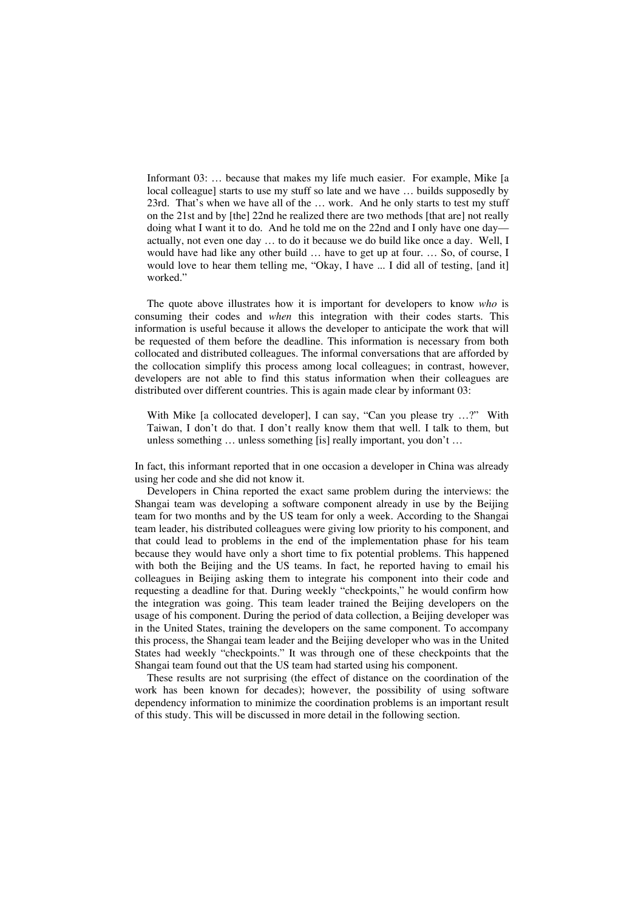Informant 03: … because that makes my life much easier. For example, Mike [a local colleague] starts to use my stuff so late and we have … builds supposedly by 23rd. That's when we have all of the … work. And he only starts to test my stuff on the 21st and by [the] 22nd he realized there are two methods [that are] not really doing what I want it to do. And he told me on the 22nd and I only have one day actually, not even one day … to do it because we do build like once a day. Well, I would have had like any other build … have to get up at four. … So, of course, I would love to hear them telling me, "Okay, I have ... I did all of testing, [and it] worked."

The quote above illustrates how it is important for developers to know *who* is consuming their codes and *when* this integration with their codes starts. This information is useful because it allows the developer to anticipate the work that will be requested of them before the deadline. This information is necessary from both collocated and distributed colleagues. The informal conversations that are afforded by the collocation simplify this process among local colleagues; in contrast, however, developers are not able to find this status information when their colleagues are distributed over different countries. This is again made clear by informant 03:

With Mike [a collocated developer], I can say, "Can you please try ...?" With Taiwan, I don't do that. I don't really know them that well. I talk to them, but unless something ... unless something [is] really important, you don't ...

In fact, this informant reported that in one occasion a developer in China was already using her code and she did not know it.

Developers in China reported the exact same problem during the interviews: the Shangai team was developing a software component already in use by the Beijing team for two months and by the US team for only a week. According to the Shangai team leader, his distributed colleagues were giving low priority to his component, and that could lead to problems in the end of the implementation phase for his team because they would have only a short time to fix potential problems. This happened with both the Beijing and the US teams. In fact, he reported having to email his colleagues in Beijing asking them to integrate his component into their code and requesting a deadline for that. During weekly "checkpoints," he would confirm how the integration was going. This team leader trained the Beijing developers on the usage of his component. During the period of data collection, a Beijing developer was in the United States, training the developers on the same component. To accompany this process, the Shangai team leader and the Beijing developer who was in the United States had weekly "checkpoints." It was through one of these checkpoints that the Shangai team found out that the US team had started using his component.

These results are not surprising (the effect of distance on the coordination of the work has been known for decades); however, the possibility of using software dependency information to minimize the coordination problems is an important result of this study. This will be discussed in more detail in the following section.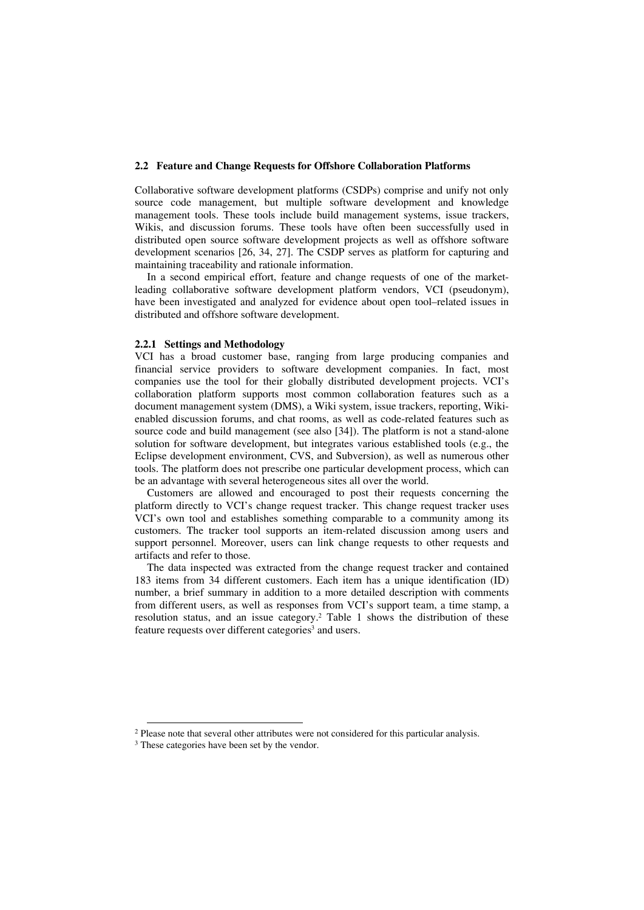### **2.2 Feature and Change Requests for Offshore Collaboration Platforms**

Collaborative software development platforms (CSDPs) comprise and unify not only source code management, but multiple software development and knowledge management tools. These tools include build management systems, issue trackers, Wikis, and discussion forums. These tools have often been successfully used in distributed open source software development projects as well as offshore software development scenarios [26, 34, 27]. The CSDP serves as platform for capturing and maintaining traceability and rationale information.

In a second empirical effort, feature and change requests of one of the marketleading collaborative software development platform vendors, VCI (pseudonym), have been investigated and analyzed for evidence about open tool–related issues in distributed and offshore software development.

# **2.2.1 Settings and Methodology**

VCI has a broad customer base, ranging from large producing companies and financial service providers to software development companies. In fact, most companies use the tool for their globally distributed development projects. VCI's collaboration platform supports most common collaboration features such as a document management system (DMS), a Wiki system, issue trackers, reporting, Wikienabled discussion forums, and chat rooms, as well as code-related features such as source code and build management (see also [34]). The platform is not a stand-alone solution for software development, but integrates various established tools (e.g., the Eclipse development environment, CVS, and Subversion), as well as numerous other tools. The platform does not prescribe one particular development process, which can be an advantage with several heterogeneous sites all over the world.

Customers are allowed and encouraged to post their requests concerning the platform directly to VCI's change request tracker. This change request tracker uses VCI's own tool and establishes something comparable to a community among its customers. The tracker tool supports an item-related discussion among users and support personnel. Moreover, users can link change requests to other requests and artifacts and refer to those.

The data inspected was extracted from the change request tracker and contained 183 items from 34 different customers. Each item has a unique identification (ID) number, a brief summary in addition to a more detailed description with comments from different users, as well as responses from VCI's support team, a time stamp, a resolution status, and an issue category.2 Table 1 shows the distribution of these feature requests over different categories<sup>3</sup> and users.

 <sup>2</sup> Please note that several other attributes were not considered for this particular analysis. 3 These categories have been set by the vendor.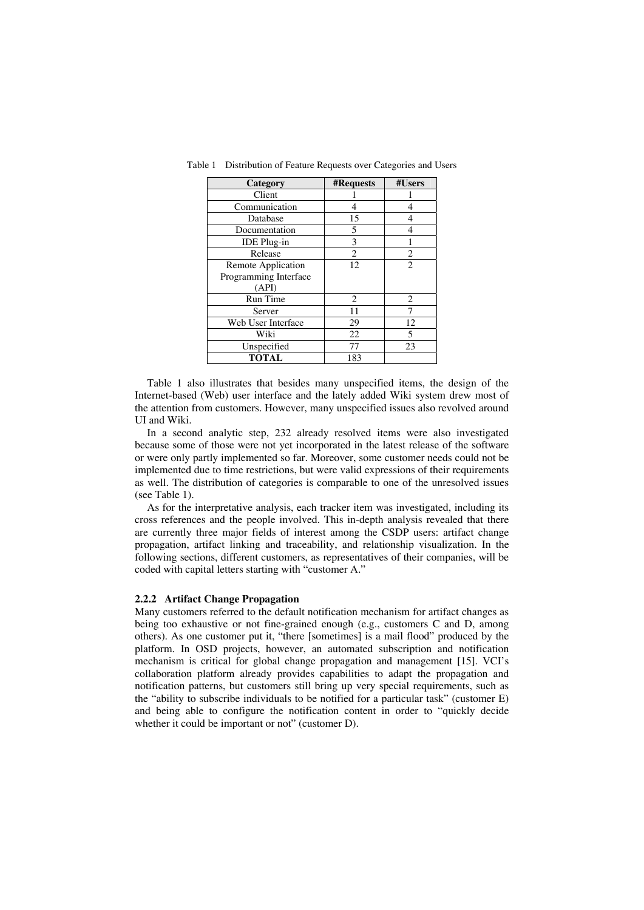| Category              | <b>#Requests</b> | #Users         |
|-----------------------|------------------|----------------|
| Client                |                  |                |
| Communication         | 4                | 4              |
| Database              | 15               |                |
| Documentation         | 5                | 4              |
| <b>IDE</b> Plug-in    | 3                |                |
| Release               | $\overline{2}$   | $\overline{2}$ |
| Remote Application    | 12               | $\overline{2}$ |
| Programming Interface |                  |                |
| (API)                 |                  |                |
| <b>Run Time</b>       | 2                | 2              |
| Server                | 11               |                |
| Web User Interface    | 29               | 12             |
| Wiki                  | 22               | 5              |
| Unspecified           | 77               | 23             |
| <b>TOTAL</b>          | 183              |                |

Table 1 Distribution of Feature Requests over Categories and Users

Table 1 also illustrates that besides many unspecified items, the design of the Internet-based (Web) user interface and the lately added Wiki system drew most of the attention from customers. However, many unspecified issues also revolved around UI and Wiki.

In a second analytic step, 232 already resolved items were also investigated because some of those were not yet incorporated in the latest release of the software or were only partly implemented so far. Moreover, some customer needs could not be implemented due to time restrictions, but were valid expressions of their requirements as well. The distribution of categories is comparable to one of the unresolved issues (see Table 1).

As for the interpretative analysis, each tracker item was investigated, including its cross references and the people involved. This in-depth analysis revealed that there are currently three major fields of interest among the CSDP users: artifact change propagation, artifact linking and traceability, and relationship visualization. In the following sections, different customers, as representatives of their companies, will be coded with capital letters starting with "customer A."

#### **2.2.2 Artifact Change Propagation**

Many customers referred to the default notification mechanism for artifact changes as being too exhaustive or not fine-grained enough (e.g., customers C and D, among others). As one customer put it, "there [sometimes] is a mail flood" produced by the platform. In OSD projects, however, an automated subscription and notification mechanism is critical for global change propagation and management [15]. VCI's collaboration platform already provides capabilities to adapt the propagation and notification patterns, but customers still bring up very special requirements, such as the "ability to subscribe individuals to be notified for a particular task" (customer E) and being able to configure the notification content in order to "quickly decide whether it could be important or not" (customer D).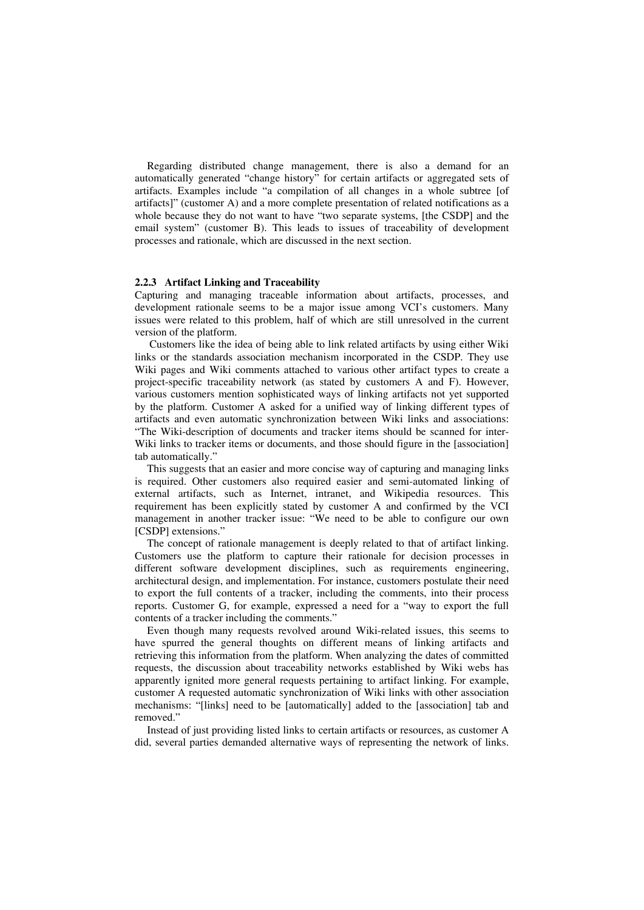Regarding distributed change management, there is also a demand for an automatically generated "change history" for certain artifacts or aggregated sets of artifacts. Examples include "a compilation of all changes in a whole subtree [of artifacts]" (customer A) and a more complete presentation of related notifications as a whole because they do not want to have "two separate systems, [the CSDP] and the email system" (customer B). This leads to issues of traceability of development processes and rationale, which are discussed in the next section.

## **2.2.3 Artifact Linking and Traceability**

Capturing and managing traceable information about artifacts, processes, and development rationale seems to be a major issue among VCI's customers. Many issues were related to this problem, half of which are still unresolved in the current version of the platform.

Customers like the idea of being able to link related artifacts by using either Wiki links or the standards association mechanism incorporated in the CSDP. They use Wiki pages and Wiki comments attached to various other artifact types to create a project-specific traceability network (as stated by customers A and F). However, various customers mention sophisticated ways of linking artifacts not yet supported by the platform. Customer A asked for a unified way of linking different types of artifacts and even automatic synchronization between Wiki links and associations: "The Wiki-description of documents and tracker items should be scanned for inter-Wiki links to tracker items or documents, and those should figure in the [association] tab automatically."

This suggests that an easier and more concise way of capturing and managing links is required. Other customers also required easier and semi-automated linking of external artifacts, such as Internet, intranet, and Wikipedia resources. This requirement has been explicitly stated by customer A and confirmed by the VCI management in another tracker issue: "We need to be able to configure our own [CSDP] extensions."

The concept of rationale management is deeply related to that of artifact linking. Customers use the platform to capture their rationale for decision processes in different software development disciplines, such as requirements engineering, architectural design, and implementation. For instance, customers postulate their need to export the full contents of a tracker, including the comments, into their process reports. Customer G, for example, expressed a need for a "way to export the full contents of a tracker including the comments."

Even though many requests revolved around Wiki-related issues, this seems to have spurred the general thoughts on different means of linking artifacts and retrieving this information from the platform. When analyzing the dates of committed requests, the discussion about traceability networks established by Wiki webs has apparently ignited more general requests pertaining to artifact linking. For example, customer A requested automatic synchronization of Wiki links with other association mechanisms: "[links] need to be [automatically] added to the [association] tab and removed."

Instead of just providing listed links to certain artifacts or resources, as customer A did, several parties demanded alternative ways of representing the network of links.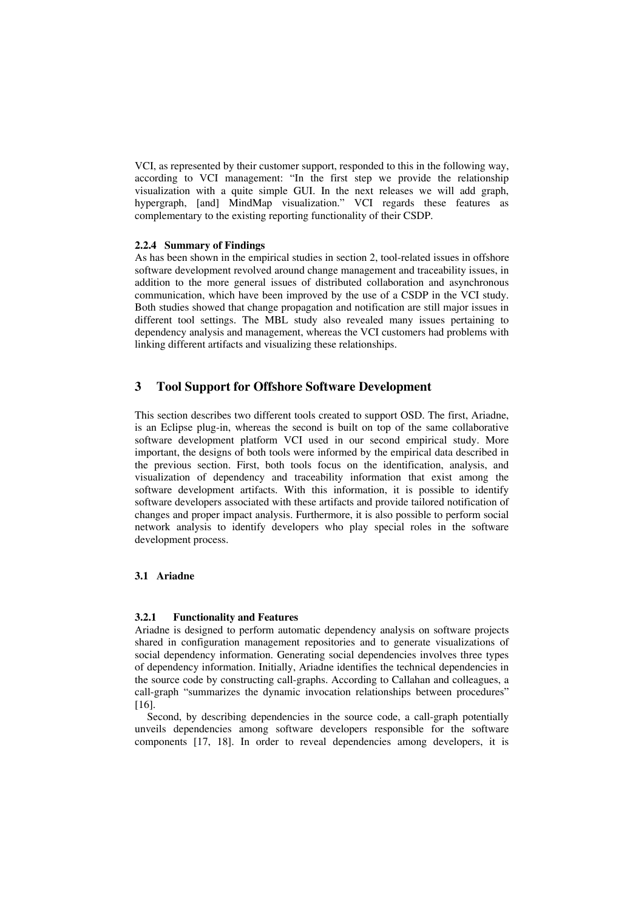VCI, as represented by their customer support, responded to this in the following way, according to VCI management: "In the first step we provide the relationship visualization with a quite simple GUI. In the next releases we will add graph, hypergraph, [and] MindMap visualization." VCI regards these features as complementary to the existing reporting functionality of their CSDP.

## **2.2.4 Summary of Findings**

As has been shown in the empirical studies in section 2, tool-related issues in offshore software development revolved around change management and traceability issues, in addition to the more general issues of distributed collaboration and asynchronous communication, which have been improved by the use of a CSDP in the VCI study. Both studies showed that change propagation and notification are still major issues in different tool settings. The MBL study also revealed many issues pertaining to dependency analysis and management, whereas the VCI customers had problems with linking different artifacts and visualizing these relationships.

# **3 Tool Support for Offshore Software Development**

This section describes two different tools created to support OSD. The first, Ariadne, is an Eclipse plug-in, whereas the second is built on top of the same collaborative software development platform VCI used in our second empirical study. More important, the designs of both tools were informed by the empirical data described in the previous section. First, both tools focus on the identification, analysis, and visualization of dependency and traceability information that exist among the software development artifacts. With this information, it is possible to identify software developers associated with these artifacts and provide tailored notification of changes and proper impact analysis. Furthermore, it is also possible to perform social network analysis to identify developers who play special roles in the software development process.

# **3.1 Ariadne**

#### **3.2.1 Functionality and Features**

Ariadne is designed to perform automatic dependency analysis on software projects shared in configuration management repositories and to generate visualizations of social dependency information. Generating social dependencies involves three types of dependency information. Initially, Ariadne identifies the technical dependencies in the source code by constructing call-graphs. According to Callahan and colleagues, a call-graph "summarizes the dynamic invocation relationships between procedures" [16].

Second, by describing dependencies in the source code, a call-graph potentially unveils dependencies among software developers responsible for the software components [17, 18]. In order to reveal dependencies among developers, it is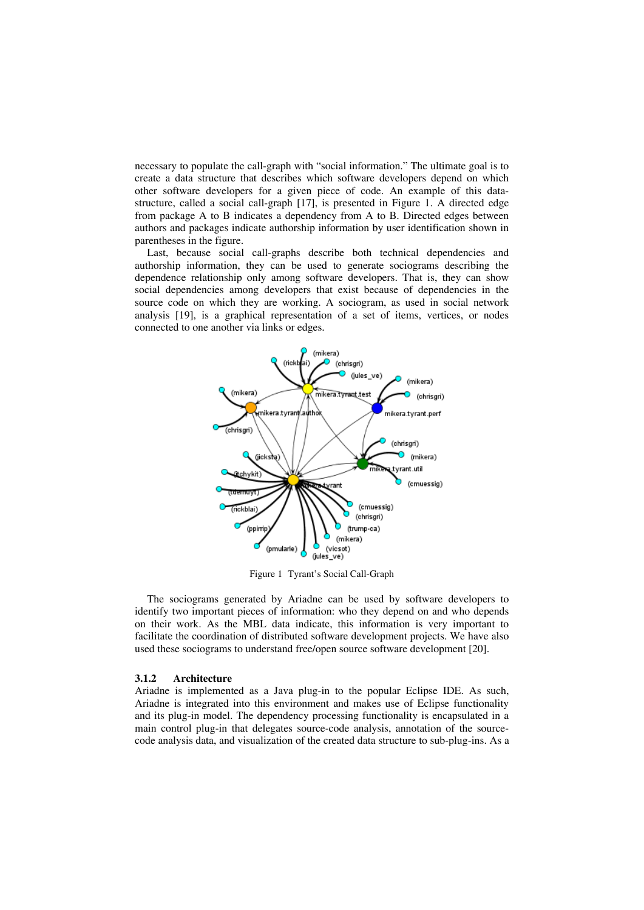necessary to populate the call-graph with "social information." The ultimate goal is to create a data structure that describes which software developers depend on which other software developers for a given piece of code. An example of this datastructure, called a social call-graph [17], is presented in Figure 1. A directed edge from package A to B indicates a dependency from A to B. Directed edges between authors and packages indicate authorship information by user identification shown in parentheses in the figure.

Last, because social call-graphs describe both technical dependencies and authorship information, they can be used to generate sociograms describing the dependence relationship only among software developers. That is, they can show social dependencies among developers that exist because of dependencies in the source code on which they are working. A sociogram, as used in social network analysis [19], is a graphical representation of a set of items, vertices, or nodes connected to one another via links or edges.



Figure 1 Tyrant's Social Call-Graph

The sociograms generated by Ariadne can be used by software developers to identify two important pieces of information: who they depend on and who depends on their work. As the MBL data indicate, this information is very important to facilitate the coordination of distributed software development projects. We have also used these sociograms to understand free/open source software development [20].

### **3.1.2 Architecture**

Ariadne is implemented as a Java plug-in to the popular Eclipse IDE. As such, Ariadne is integrated into this environment and makes use of Eclipse functionality and its plug-in model. The dependency processing functionality is encapsulated in a main control plug-in that delegates source-code analysis, annotation of the sourcecode analysis data, and visualization of the created data structure to sub-plug-ins. As a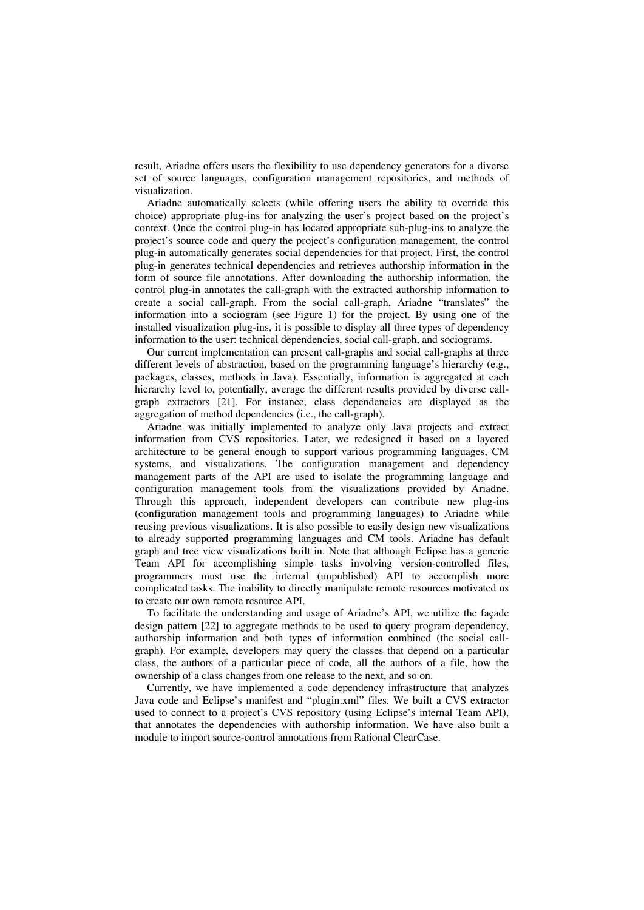result, Ariadne offers users the flexibility to use dependency generators for a diverse set of source languages, configuration management repositories, and methods of visualization.

Ariadne automatically selects (while offering users the ability to override this choice) appropriate plug-ins for analyzing the user's project based on the project's context. Once the control plug-in has located appropriate sub-plug-ins to analyze the project's source code and query the project's configuration management, the control plug-in automatically generates social dependencies for that project. First, the control plug-in generates technical dependencies and retrieves authorship information in the form of source file annotations. After downloading the authorship information, the control plug-in annotates the call-graph with the extracted authorship information to create a social call-graph. From the social call-graph, Ariadne "translates" the information into a sociogram (see Figure 1) for the project. By using one of the installed visualization plug-ins, it is possible to display all three types of dependency information to the user: technical dependencies, social call-graph, and sociograms.

Our current implementation can present call-graphs and social call-graphs at three different levels of abstraction, based on the programming language's hierarchy (e.g., packages, classes, methods in Java). Essentially, information is aggregated at each hierarchy level to, potentially, average the different results provided by diverse callgraph extractors [21]. For instance, class dependencies are displayed as the aggregation of method dependencies (i.e., the call-graph).

Ariadne was initially implemented to analyze only Java projects and extract information from CVS repositories. Later, we redesigned it based on a layered architecture to be general enough to support various programming languages, CM systems, and visualizations. The configuration management and dependency management parts of the API are used to isolate the programming language and configuration management tools from the visualizations provided by Ariadne. Through this approach, independent developers can contribute new plug-ins (configuration management tools and programming languages) to Ariadne while reusing previous visualizations. It is also possible to easily design new visualizations to already supported programming languages and CM tools. Ariadne has default graph and tree view visualizations built in. Note that although Eclipse has a generic Team API for accomplishing simple tasks involving version-controlled files, programmers must use the internal (unpublished) API to accomplish more complicated tasks. The inability to directly manipulate remote resources motivated us to create our own remote resource API.

To facilitate the understanding and usage of Ariadne's API, we utilize the façade design pattern [22] to aggregate methods to be used to query program dependency, authorship information and both types of information combined (the social callgraph). For example, developers may query the classes that depend on a particular class, the authors of a particular piece of code, all the authors of a file, how the ownership of a class changes from one release to the next, and so on.

Currently, we have implemented a code dependency infrastructure that analyzes Java code and Eclipse's manifest and "plugin.xml" files. We built a CVS extractor used to connect to a project's CVS repository (using Eclipse's internal Team API), that annotates the dependencies with authorship information. We have also built a module to import source-control annotations from Rational ClearCase.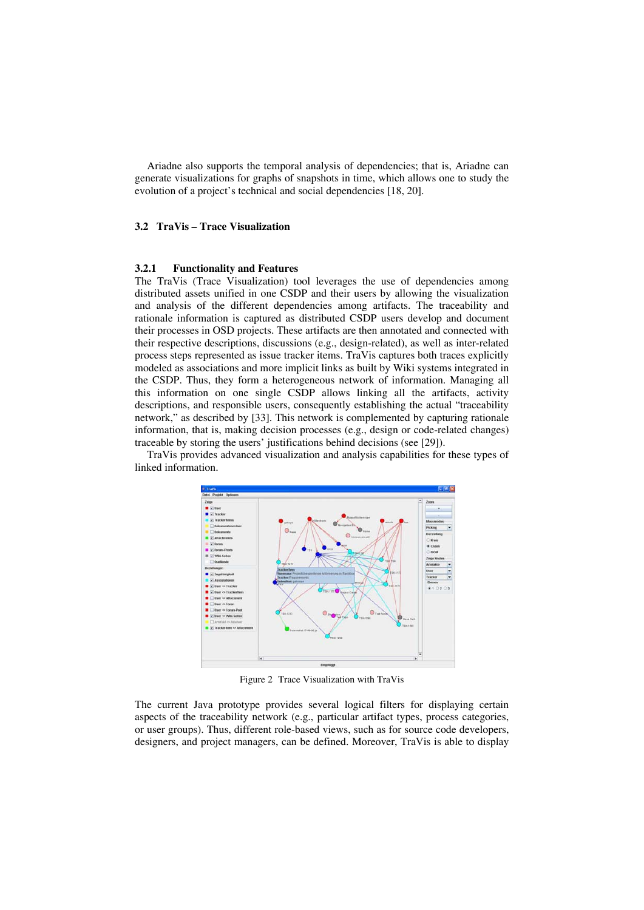Ariadne also supports the temporal analysis of dependencies; that is, Ariadne can generate visualizations for graphs of snapshots in time, which allows one to study the evolution of a project's technical and social dependencies [18, 20].

### **3.2 TraVis – Trace Visualization**

#### **3.2.1 Functionality and Features**

The TraVis (Trace Visualization) tool leverages the use of dependencies among distributed assets unified in one CSDP and their users by allowing the visualization and analysis of the different dependencies among artifacts. The traceability and rationale information is captured as distributed CSDP users develop and document their processes in OSD projects. These artifacts are then annotated and connected with their respective descriptions, discussions (e.g., design-related), as well as inter-related process steps represented as issue tracker items. TraVis captures both traces explicitly modeled as associations and more implicit links as built by Wiki systems integrated in the CSDP. Thus, they form a heterogeneous network of information. Managing all this information on one single CSDP allows linking all the artifacts, activity descriptions, and responsible users, consequently establishing the actual "traceability network," as described by [33]. This network is complemented by capturing rationale information, that is, making decision processes (e.g., design or code-related changes) traceable by storing the users' justifications behind decisions (see [29]).

TraVis provides advanced visualization and analysis capabilities for these types of linked information.

Figure 2 Trace Visualization with TraVis

The current Java prototype provides several logical filters for displaying certain aspects of the traceability network (e.g., particular artifact types, process categories, or user groups). Thus, different role-based views, such as for source code developers, designers, and project managers, can be defined. Moreover, TraVis is able to display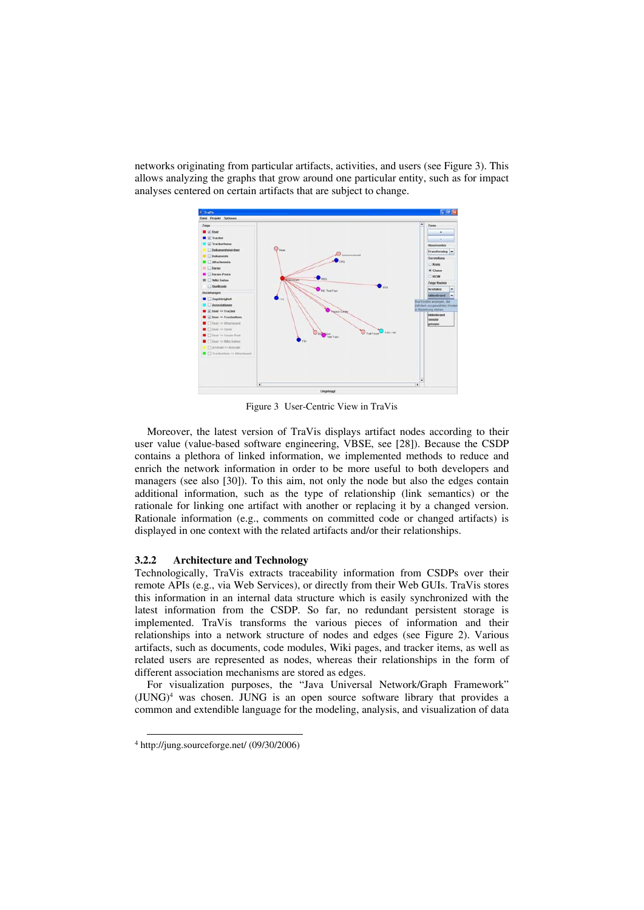networks originating from particular artifacts, activities, and users (see Figure 3). This allows analyzing the graphs that grow around one particular entity, such as for impact analyses centered on certain artifacts that are subject to change.



Figure 3 User-Centric View in TraVis

Moreover, the latest version of TraVis displays artifact nodes according to their user value (value-based software engineering, VBSE, see [28]). Because the CSDP contains a plethora of linked information, we implemented methods to reduce and enrich the network information in order to be more useful to both developers and managers (see also [30]). To this aim, not only the node but also the edges contain additional information, such as the type of relationship (link semantics) or the rationale for linking one artifact with another or replacing it by a changed version. Rationale information (e.g., comments on committed code or changed artifacts) is displayed in one context with the related artifacts and/or their relationships.

#### **3.2.2 Architecture and Technology**

Technologically, TraVis extracts traceability information from CSDPs over their remote APIs (e.g., via Web Services), or directly from their Web GUIs. TraVis stores this information in an internal data structure which is easily synchronized with the latest information from the CSDP. So far, no redundant persistent storage is implemented. TraVis transforms the various pieces of information and their relationships into a network structure of nodes and edges (see Figure 2). Various artifacts, such as documents, code modules, Wiki pages, and tracker items, as well as related users are represented as nodes, whereas their relationships in the form of different association mechanisms are stored as edges.

For visualization purposes, the "Java Universal Network/Graph Framework"  $(JUNG)^4$  was chosen. JUNG is an open source software library that provides a common and extendible language for the modeling, analysis, and visualization of data

 <sup>4</sup> http://jung.sourceforge.net/ (09/30/2006)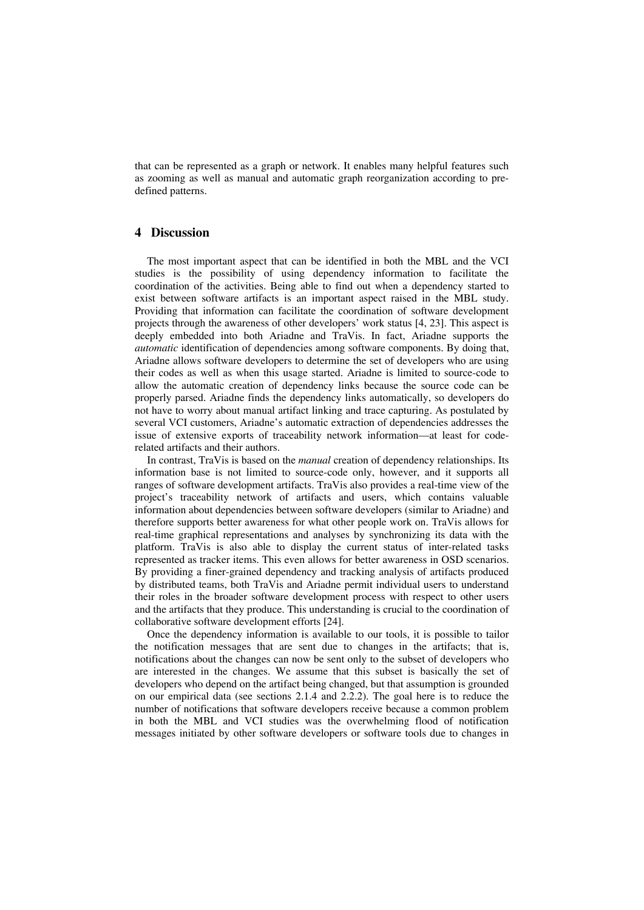that can be represented as a graph or network. It enables many helpful features such as zooming as well as manual and automatic graph reorganization according to predefined patterns.

# **4 Discussion**

The most important aspect that can be identified in both the MBL and the VCI studies is the possibility of using dependency information to facilitate the coordination of the activities. Being able to find out when a dependency started to exist between software artifacts is an important aspect raised in the MBL study. Providing that information can facilitate the coordination of software development projects through the awareness of other developers' work status [4, 23]. This aspect is deeply embedded into both Ariadne and TraVis. In fact, Ariadne supports the *automatic* identification of dependencies among software components. By doing that, Ariadne allows software developers to determine the set of developers who are using their codes as well as when this usage started. Ariadne is limited to source-code to allow the automatic creation of dependency links because the source code can be properly parsed. Ariadne finds the dependency links automatically, so developers do not have to worry about manual artifact linking and trace capturing. As postulated by several VCI customers, Ariadne's automatic extraction of dependencies addresses the issue of extensive exports of traceability network information—at least for coderelated artifacts and their authors.

In contrast, TraVis is based on the *manual* creation of dependency relationships. Its information base is not limited to source-code only, however, and it supports all ranges of software development artifacts. TraVis also provides a real-time view of the project's traceability network of artifacts and users, which contains valuable information about dependencies between software developers (similar to Ariadne) and therefore supports better awareness for what other people work on. TraVis allows for real-time graphical representations and analyses by synchronizing its data with the platform. TraVis is also able to display the current status of inter-related tasks represented as tracker items. This even allows for better awareness in OSD scenarios. By providing a finer-grained dependency and tracking analysis of artifacts produced by distributed teams, both TraVis and Ariadne permit individual users to understand their roles in the broader software development process with respect to other users and the artifacts that they produce. This understanding is crucial to the coordination of collaborative software development efforts [24].

Once the dependency information is available to our tools, it is possible to tailor the notification messages that are sent due to changes in the artifacts; that is, notifications about the changes can now be sent only to the subset of developers who are interested in the changes. We assume that this subset is basically the set of developers who depend on the artifact being changed, but that assumption is grounded on our empirical data (see sections 2.1.4 and 2.2.2). The goal here is to reduce the number of notifications that software developers receive because a common problem in both the MBL and VCI studies was the overwhelming flood of notification messages initiated by other software developers or software tools due to changes in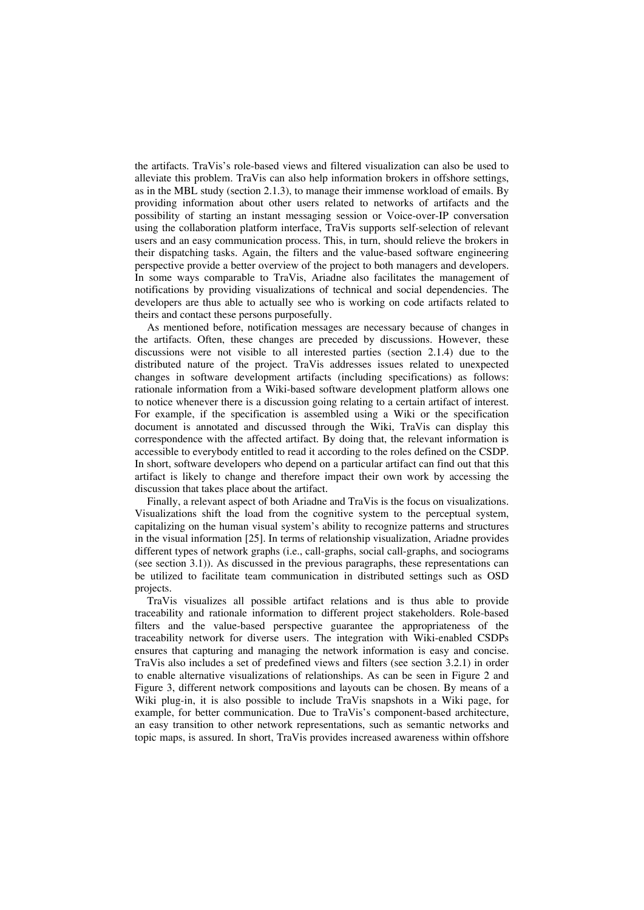the artifacts. TraVis's role-based views and filtered visualization can also be used to alleviate this problem. TraVis can also help information brokers in offshore settings, as in the MBL study (section 2.1.3), to manage their immense workload of emails. By providing information about other users related to networks of artifacts and the possibility of starting an instant messaging session or Voice-over-IP conversation using the collaboration platform interface, TraVis supports self-selection of relevant users and an easy communication process. This, in turn, should relieve the brokers in their dispatching tasks. Again, the filters and the value-based software engineering perspective provide a better overview of the project to both managers and developers. In some ways comparable to TraVis, Ariadne also facilitates the management of notifications by providing visualizations of technical and social dependencies. The developers are thus able to actually see who is working on code artifacts related to theirs and contact these persons purposefully.

As mentioned before, notification messages are necessary because of changes in the artifacts. Often, these changes are preceded by discussions. However, these discussions were not visible to all interested parties (section 2.1.4) due to the distributed nature of the project. TraVis addresses issues related to unexpected changes in software development artifacts (including specifications) as follows: rationale information from a Wiki-based software development platform allows one to notice whenever there is a discussion going relating to a certain artifact of interest. For example, if the specification is assembled using a Wiki or the specification document is annotated and discussed through the Wiki, TraVis can display this correspondence with the affected artifact. By doing that, the relevant information is accessible to everybody entitled to read it according to the roles defined on the CSDP. In short, software developers who depend on a particular artifact can find out that this artifact is likely to change and therefore impact their own work by accessing the discussion that takes place about the artifact.

Finally, a relevant aspect of both Ariadne and TraVis is the focus on visualizations. Visualizations shift the load from the cognitive system to the perceptual system, capitalizing on the human visual system's ability to recognize patterns and structures in the visual information [25]. In terms of relationship visualization, Ariadne provides different types of network graphs (i.e., call-graphs, social call-graphs, and sociograms (see section 3.1)). As discussed in the previous paragraphs, these representations can be utilized to facilitate team communication in distributed settings such as OSD projects.

TraVis visualizes all possible artifact relations and is thus able to provide traceability and rationale information to different project stakeholders. Role-based filters and the value-based perspective guarantee the appropriateness of the traceability network for diverse users. The integration with Wiki-enabled CSDPs ensures that capturing and managing the network information is easy and concise. TraVis also includes a set of predefined views and filters (see section 3.2.1) in order to enable alternative visualizations of relationships. As can be seen in Figure 2 and Figure 3, different network compositions and layouts can be chosen. By means of a Wiki plug-in, it is also possible to include TraVis snapshots in a Wiki page, for example, for better communication. Due to TraVis's component-based architecture, an easy transition to other network representations, such as semantic networks and topic maps, is assured. In short, TraVis provides increased awareness within offshore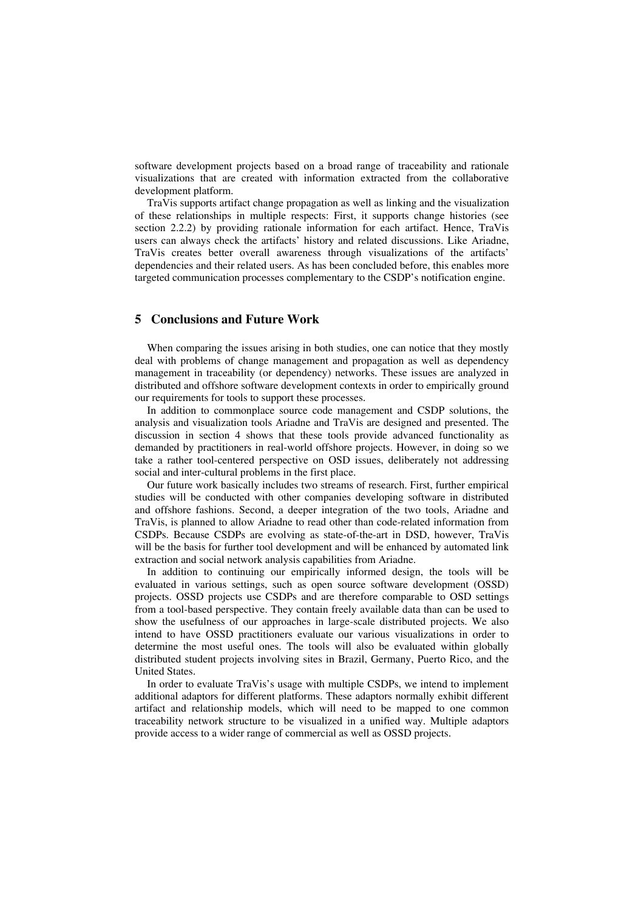software development projects based on a broad range of traceability and rationale visualizations that are created with information extracted from the collaborative development platform.

TraVis supports artifact change propagation as well as linking and the visualization of these relationships in multiple respects: First, it supports change histories (see section 2.2.2) by providing rationale information for each artifact. Hence, TraVis users can always check the artifacts' history and related discussions. Like Ariadne, TraVis creates better overall awareness through visualizations of the artifacts' dependencies and their related users. As has been concluded before, this enables more targeted communication processes complementary to the CSDP's notification engine.

# **5 Conclusions and Future Work**

When comparing the issues arising in both studies, one can notice that they mostly deal with problems of change management and propagation as well as dependency management in traceability (or dependency) networks. These issues are analyzed in distributed and offshore software development contexts in order to empirically ground our requirements for tools to support these processes.

In addition to commonplace source code management and CSDP solutions, the analysis and visualization tools Ariadne and TraVis are designed and presented. The discussion in section 4 shows that these tools provide advanced functionality as demanded by practitioners in real-world offshore projects. However, in doing so we take a rather tool-centered perspective on OSD issues, deliberately not addressing social and inter-cultural problems in the first place.

Our future work basically includes two streams of research. First, further empirical studies will be conducted with other companies developing software in distributed and offshore fashions. Second, a deeper integration of the two tools, Ariadne and TraVis, is planned to allow Ariadne to read other than code-related information from CSDPs. Because CSDPs are evolving as state-of-the-art in DSD, however, TraVis will be the basis for further tool development and will be enhanced by automated link extraction and social network analysis capabilities from Ariadne.

In addition to continuing our empirically informed design, the tools will be evaluated in various settings, such as open source software development (OSSD) projects. OSSD projects use CSDPs and are therefore comparable to OSD settings from a tool-based perspective. They contain freely available data than can be used to show the usefulness of our approaches in large-scale distributed projects. We also intend to have OSSD practitioners evaluate our various visualizations in order to determine the most useful ones. The tools will also be evaluated within globally distributed student projects involving sites in Brazil, Germany, Puerto Rico, and the United States.

In order to evaluate TraVis's usage with multiple CSDPs, we intend to implement additional adaptors for different platforms. These adaptors normally exhibit different artifact and relationship models, which will need to be mapped to one common traceability network structure to be visualized in a unified way. Multiple adaptors provide access to a wider range of commercial as well as OSSD projects.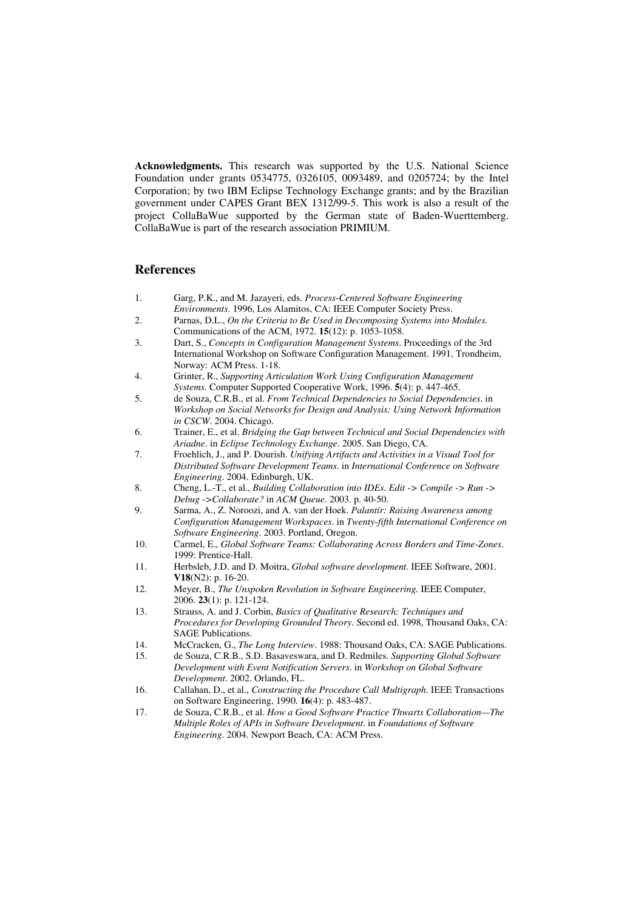**Acknowledgments.** This research was supported by the U.S. National Science Foundation under grants 0534775, 0326105, 0093489, and 0205724; by the Intel Corporation; by two IBM Eclipse Technology Exchange grants; and by the Brazilian government under CAPES Grant BEX 1312/99-5. This work is also a result of the project CollaBaWue supported by the German state of Baden-Wuerttemberg. CollaBaWue is part of the research association PRIMIUM.

# **References**

- 1. Garg, P.K., and M. Jazayeri, eds. *Process-Centered Software Engineering Environments*. 1996, Los Alamitos, CA: IEEE Computer Society Press.
- 2. Parnas, D.L., *On the Criteria to Be Used in Decomposing Systems into Modules.* Communications of the ACM, 1972. **15**(12): p. 1053-1058.
- 3. Dart, S., *Concepts in Configuration Management Systems*. Proceedings of the 3rd International Workshop on Software Configuration Management. 1991, Trondheim, Norway: ACM Press. 1-18.
- 4. Grinter, R., *Supporting Articulation Work Using Configuration Management Systems.* Computer Supported Cooperative Work, 1996. **5**(4): p. 447-465.
- 5. de Souza, C.R.B., et al. *From Technical Dependencies to Social Dependencies*. in *Workshop on Social Networks for Design and Analysis: Using Network Information in CSCW*. 2004. Chicago.
- 6. Trainer, E., et al. *Bridging the Gap between Technical and Social Dependencies with Ariadne*. in *Eclipse Technology Exchange*. 2005. San Diego, CA.
- 7. Froehlich, J., and P. Dourish. *Unifying Artifacts and Activities in a Visual Tool for Distributed Software Development Teams*. in *International Conference on Software Engineering*. 2004. Edinburgh, UK.
- 8. Cheng, L.-T., et al., *Building Collaboration into IDEs. Edit -> Compile -> Run -> Debug ->Collaborate?* in *ACM Queue*. 2003. p. 40-50.
- 9. Sarma, A., Z. Noroozi, and A. van der Hoek. *Palantír: Raising Awareness among Configuration Management Workspaces*. in *Twenty-fifth International Conference on Software Engineering*. 2003. Portland, Oregon.
- 10. Carmel, E., *Global Software Teams: Collaborating Across Borders and Time-Zones*. 1999: Prentice-Hall.
- 11. Herbsleb, J.D. and D. Moitra, *Global software development.* IEEE Software, 2001. **V18**(N2): p. 16-20.
- 12. Meyer, B., *The Unspoken Revolution in Software Engineering.* IEEE Computer, 2006. **23**(1): p. 121-124.
- 13. Strauss, A. and J. Corbin, *Basics of Qualitative Research: Techniques and Procedures for Developing Grounded Theory*. Second ed. 1998, Thousand Oaks, CA: SAGE Publications.
- 14. McCracken, G., *The Long Interview*. 1988: Thousand Oaks, CA: SAGE Publications.
- 15. de Souza, C.R.B., S.D. Basaveswara, and D. Redmiles. *Supporting Global Software Development with Event Notification Servers*. in *Workshop on Global Software Development*. 2002. Orlando, FL.
- 16. Callahan, D., et al., *Constructing the Procedure Call Multigraph.* IEEE Transactions on Software Engineering, 1990. **16**(4): p. 483-487.
- 17. de Souza, C.R.B., et al. *How a Good Software Practice Thwarts Collaboration—The Multiple Roles of APIs in Software Development*. in *Foundations of Software Engineering*. 2004. Newport Beach, CA: ACM Press.